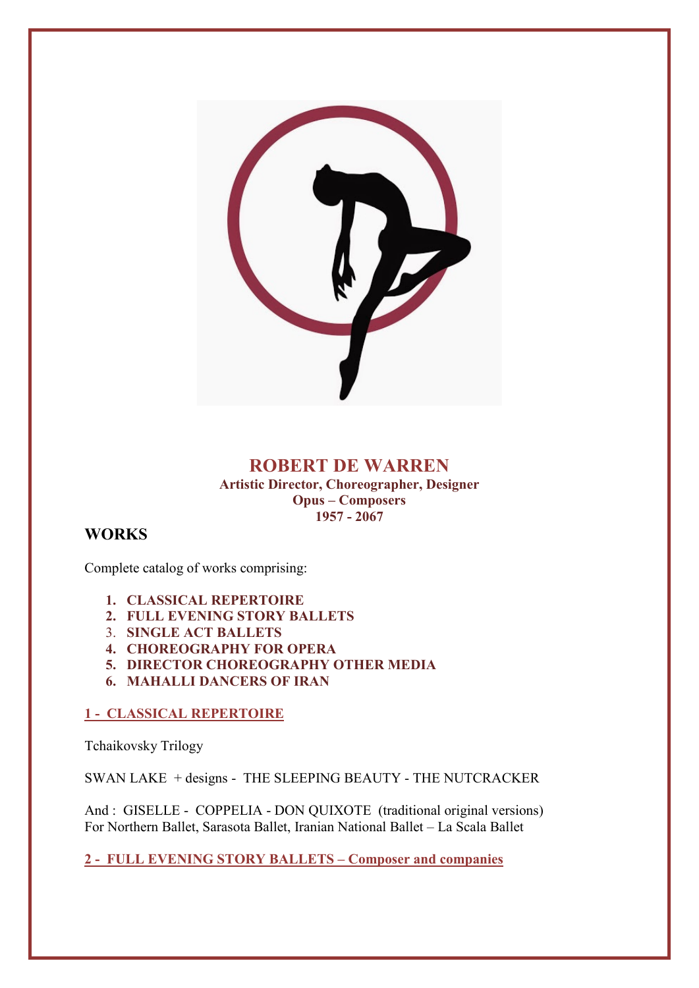

### **ROBERT DE WARREN Artistic Director, Choreographer, Designer Opus – Composers 1957 - 2067**

# **WORKS**

Complete catalog of works comprising:

- **1. CLASSICAL REPERTOIRE**
- **2. FULL EVENING STORY BALLETS**
- 3. **SINGLE ACT BALLETS**
- **4. CHOREOGRAPHY FOR OPERA**
- **5. DIRECTOR CHOREOGRAPHY OTHER MEDIA**
- **6. MAHALLI DANCERS OF IRAN**

### **1 - CLASSICAL REPERTOIRE**

Tchaikovsky Trilogy

SWAN LAKE + designs - THE SLEEPING BEAUTY - THE NUTCRACKER

And : GISELLE - COPPELIA - DON QUIXOTE (traditional original versions) For Northern Ballet, Sarasota Ballet, Iranian National Ballet – La Scala Ballet

**2 - FULL EVENING STORY BALLETS – Composer and companies**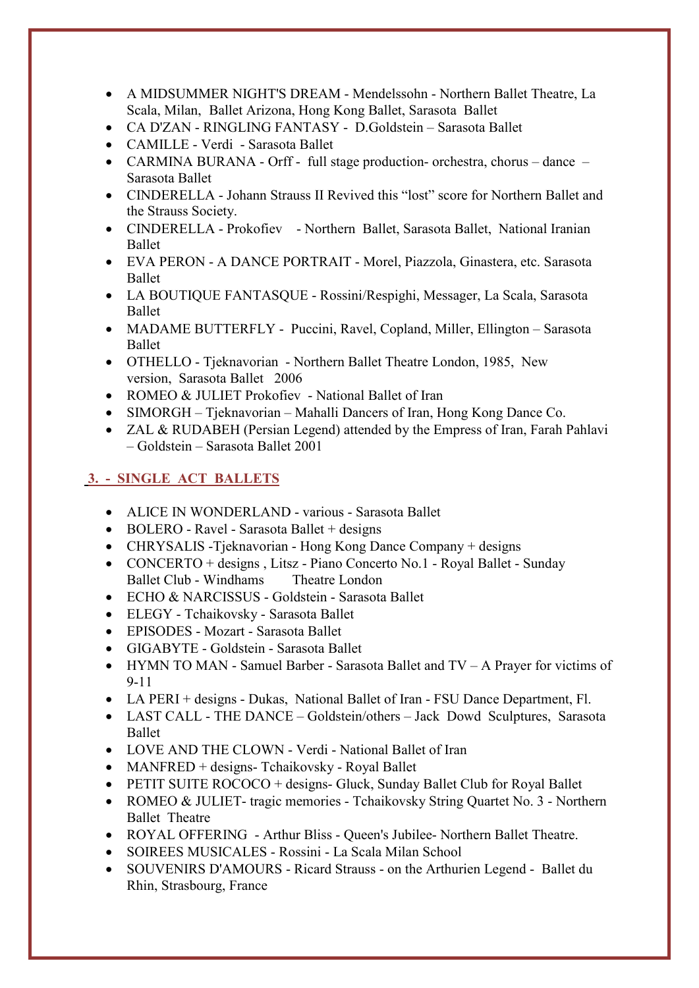- A MIDSUMMER NIGHT'S DREAM Mendelssohn Northern Ballet Theatre, La Scala, Milan, Ballet Arizona, Hong Kong Ballet, Sarasota Ballet
- CA D'ZAN RINGLING FANTASY D.Goldstein Sarasota Ballet
- CAMILLE Verdi Sarasota Ballet
- CARMINA BURANA Orff full stage production- orchestra, chorus dance Sarasota Ballet
- CINDERELLA Johann Strauss II Revived this "lost" score for Northern Ballet and the Strauss Society.
- CINDERELLA Prokofiev Northern Ballet, Sarasota Ballet, National Iranian Ballet
- EVA PERON A DANCE PORTRAIT Morel, Piazzola, Ginastera, etc. Sarasota Ballet
- LA BOUTIQUE FANTASQUE Rossini/Respighi, Messager, La Scala, Sarasota Ballet
- MADAME BUTTERFLY Puccini, Ravel, Copland, Miller, Ellington Sarasota Ballet
- OTHELLO Tjeknavorian Northern Ballet Theatre London, 1985, New version, Sarasota Ballet 2006
- ROMEO & JULIET Prokofiev National Ballet of Iran
- SIMORGH Tjeknavorian Mahalli Dancers of Iran, Hong Kong Dance Co.
- ZAL & RUDABEH (Persian Legend) attended by the Empress of Iran, Farah Pahlavi – Goldstein – Sarasota Ballet 2001

# **3. - SINGLE ACT BALLETS**

- ALICE IN WONDERLAND various Sarasota Ballet
- BOLERO Ravel Sarasota Ballet + designs
- CHRYSALIS -Tjeknavorian Hong Kong Dance Company + designs
- CONCERTO + designs, Litsz Piano Concerto No.1 Royal Ballet Sunday Ballet Club - Windhams Theatre London
- ECHO & NARCISSUS Goldstein Sarasota Ballet
- ELEGY Tchaikovsky Sarasota Ballet
- EPISODES Mozart Sarasota Ballet
- GIGABYTE Goldstein Sarasota Ballet
- HYMN TO MAN Samuel Barber Sarasota Ballet and TV A Prayer for victims of 9-11
- LA PERI + designs Dukas, National Ballet of Iran FSU Dance Department, Fl.
- LAST CALL THE DANCE Goldstein/others Jack Dowd Sculptures, Sarasota Ballet
- LOVE AND THE CLOWN Verdi National Ballet of Iran
- MANFRED + designs- Tchaikovsky Royal Ballet
- PETIT SUITE ROCOCO + designs- Gluck, Sunday Ballet Club for Royal Ballet
- ROMEO & JULIET- tragic memories Tchaikovsky String Quartet No. 3 Northern Ballet Theatre
- ROYAL OFFERING Arthur Bliss Queen's Jubilee- Northern Ballet Theatre.
- SOIREES MUSICALES Rossini La Scala Milan School
- SOUVENIRS D'AMOURS Ricard Strauss on the Arthurien Legend Ballet du Rhin, Strasbourg, France